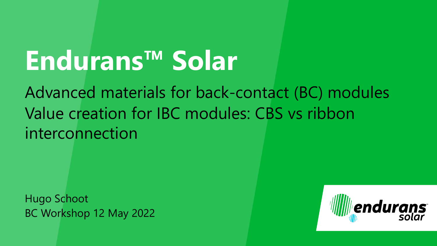# **Endurans™ Solar**

Advanced materials for back-contact (BC) modules Value creation for IBC modules: CBS vs ribbon interconnection

Hugo Schoot BC Workshop 12 May 2022

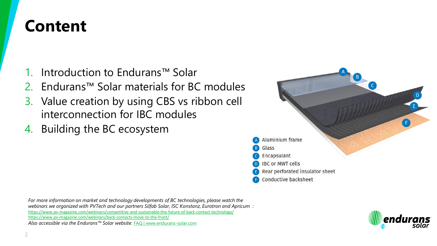#### **Content**

- 1. Introduction to Endurans™ Solar
- 2. Endurans™ Solar materials for BC modules
- 3. Value creation by using CBS vs ribbon cell interconnection for IBC modules
- 4. Building the BC ecosystem



*For more information on market and technology developments of BC technologies, please watch the webinars we organized with PVTech and our partners Silfab Solar, ISC Konstanz, Eurotron and Apricum :* <https://www.pv-magazine.com/webinars/competitive-and-sustainable-the-future-of-back-contact-technology/> <https://www.pv-magazine.com/webinars/back-contacts-move-to-the-front/> *Also accessible via the Endurans™ Solar website:* [FAQ | www.endurans-solar.com](https://endurans-solar.com/contact/faq/)

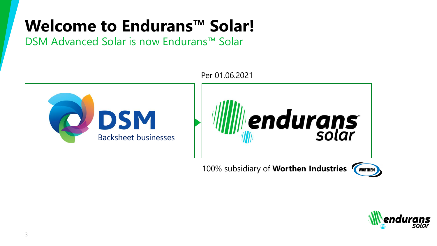#### **Welcome to Endurans™ Solar!**

DSM Advanced Solar is now Endurans™ Solar



100% subsidiary of **Worthen Industries** 



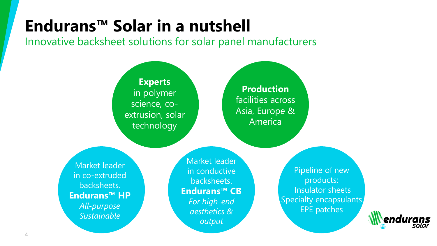#### **Endurans™ Solar in a nutshell**

Innovative backsheet solutions for solar panel manufacturers



Market leader in co-extruded backsheets. **Endurans™ HP** *All-purpose Sustainable*

in conductive backsheets. **Endurans™ CB**  *For high-end aesthetics & output*

Pipeline of new products: Insulator sheets Specialty encapsulants EPE patches

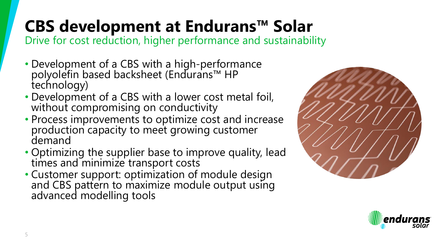## **CBS development at Endurans™ Solar**

Drive for cost reduction, higher performance and sustainability

- Development of a CBS with a high-performance polyolefin based backsheet (Endurans™ HP technology)
- Development of a CBS with a lower cost metal foil, without compromising on conductivity
- Process improvements to optimize cost and increase production capacity to meet growing customer demand
- Optimizing the supplier base to improve quality, lead times and minimize transport costs
- Customer support: optimization of module design and CBS pattern to maximize module output using advanced modelling tools



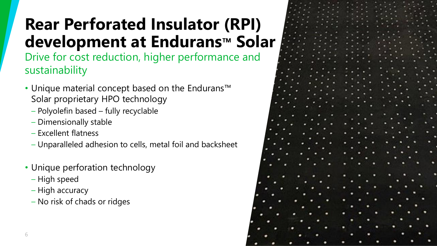### **Rear Perforated Insulator (RPI) development at Endurans™ Solar**

Drive for cost reduction, higher performance and sustainability

- Unique material concept based on the Endurans™ Solar proprietary HPO technology
	- Polyolefin based fully recyclable
	- Dimensionally stable
	- Excellent flatness
	- Unparalleled adhesion to cells, metal foil and backsheet
- Unique perforation technology
	- High speed
	- High accuracy
	- No risk of chads or ridges

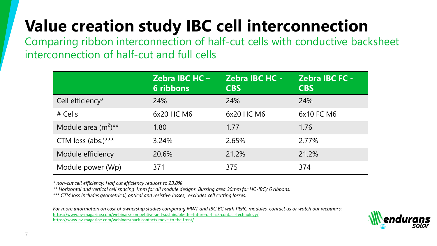#### **Value creation study IBC cell interconnection**

Comparing ribbon interconnection of half-cut cells with conductive backsheet interconnection of half-cut and full cells

|                          | <b>Zebra IBC HC-</b><br><b>6 ribbons</b> | <b>Zebra IBC HC -</b><br><b>CBS</b> | <b>Zebra IBC FC -</b><br><b>CBS</b> |
|--------------------------|------------------------------------------|-------------------------------------|-------------------------------------|
| Cell efficiency*         | 24%                                      | 24%                                 | 24%                                 |
| $#$ Cells                | 6x20 HC M6                               | 6x20 HC M6                          | 6x10 FC M6                          |
| Module area $(m^2)^{**}$ | 1.80                                     | 1.77                                | 1.76                                |
| CTM loss $(abs.)***$     | 3.24%                                    | 2.65%                               | 2.77%                               |
| Module efficiency        | 20.6%                                    | 21.2%                               | 21.2%                               |
| Module power (Wp)        | 371                                      | 375                                 | 374                                 |

*\* non-cut cell efficiency. Half cut efficiency reduces to 23.8%*

*\*\* Horizontal and vertical cell spacing 1mm for all module designs. Bussing area 30mm for HC-IBC/ 6 ribbons.*

*\*\*\* CTM loss includes geometrical, optical and resistive losses, excludes cell cutting losses.* 

*For more information on cost of ownership studies comparing MWT and IBC BC with PERC modules, contact us or watch our webinars:* <https://www.pv-magazine.com/webinars/competitive-and-sustainable-the-future-of-back-contact-technology/> <https://www.pv-magazine.com/webinars/back-contacts-move-to-the-front/>

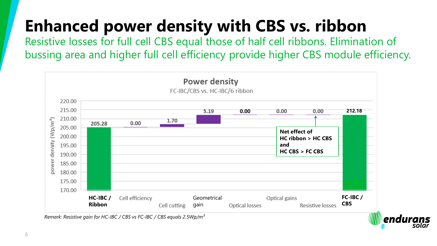#### **Enhanced power density with CBS vs. ribbon**

Resistive losses for full cell CBS equal those of half cell ribbons. Elimination of bussing area and higher full cell efficiency provide higher CBS module efficiency.



endu

*Remark: Resistive gain for HC-IBC / CBS vs FC-IBC / CBS equals 2.5Wp/m²*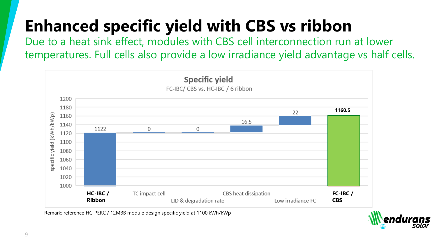## **Enhanced specific yield with CBS vs ribbon**

Due to a heat sink effect, modules with CBS cell interconnection run at lower temperatures. Full cells also provide a low irradiance yield advantage vs half cells.



Remark: reference HC-PERC / 12MBB module design specific yield at 1100 kWh/kWp

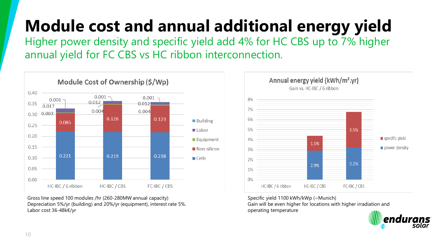# **Module cost and annual additional energy yield**

Higher power density and specific yield add 4% for HC CBS up to 7% higher annual yield for FC CBS vs HC ribbon interconnection.



Gross line speed 100 modules /hr (260-280MW annual capacity) Depreciation 5%/yr (building) and 20%/yr (equipment), interest rate 5%. Labor cost 36-48k€/yr



Specific yield 1100 kWh/kWp (~Munich)

Gain will be even higher for locations with higher irradiation and operating temperature

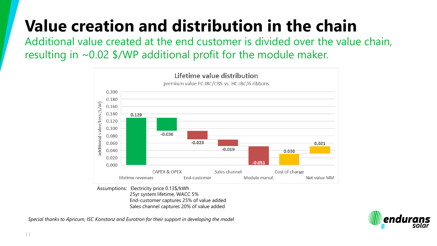#### **Value creation and distribution in the chain**

Additional value created at the end customer is divided over the value chain, resulting in ~0.02 \$/WP additional profit for the module maker.



Assumptions: Electricity price 0.13\$/kWh 25yr system lifetime, WACC 5% End-customer captures 25% of value added Sales channel captures 20% of value added

*Special thanks to Apricum, ISC Konstanz and Eurotron for their support in developing the model* 

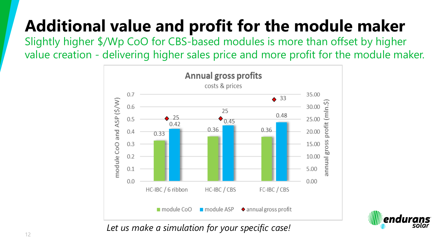### **Additional value and profit for the module maker**

Slightly higher \$/Wp CoO for CBS-based modules is more than offset by higher value creation - delivering higher sales price and more profit for the module maker.





*Let us make a simulation for your specific case!*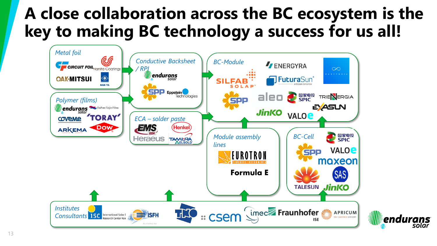#### **A close collaboration across the BC ecosystem is the key to making BC technology a success for us all!**